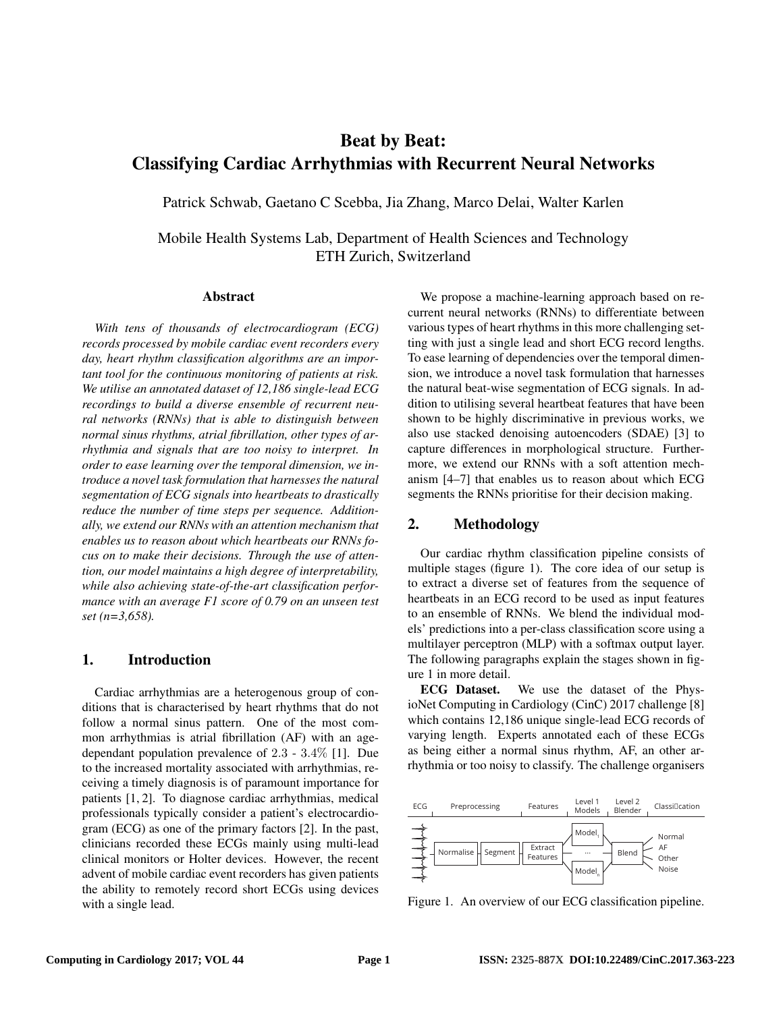# Beat by Beat: Classifying Cardiac Arrhythmias with Recurrent Neural Networks

Patrick Schwab, Gaetano C Scebba, Jia Zhang, Marco Delai, Walter Karlen

Mobile Health Systems Lab, Department of Health Sciences and Technology ETH Zurich, Switzerland

#### Abstract

*With tens of thousands of electrocardiogram (ECG) records processed by mobile cardiac event recorders every day, heart rhythm classification algorithms are an important tool for the continuous monitoring of patients at risk. We utilise an annotated dataset of 12,186 single-lead ECG recordings to build a diverse ensemble of recurrent neural networks (RNNs) that is able to distinguish between normal sinus rhythms, atrial fibrillation, other types of arrhythmia and signals that are too noisy to interpret. In order to ease learning over the temporal dimension, we introduce a novel task formulation that harnesses the natural segmentation of ECG signals into heartbeats to drastically reduce the number of time steps per sequence. Additionally, we extend our RNNs with an attention mechanism that enables us to reason about which heartbeats our RNNs focus on to make their decisions. Through the use of attention, our model maintains a high degree of interpretability, while also achieving state-of-the-art classification performance with an average F1 score of 0.79 on an unseen test set (n=3,658).*

## 1. Introduction

Cardiac arrhythmias are a heterogenous group of conditions that is characterised by heart rhythms that do not follow a normal sinus pattern. One of the most common arrhythmias is atrial fibrillation (AF) with an agedependant population prevalence of 2.3 - 3.4% [1]. Due to the increased mortality associated with arrhythmias, receiving a timely diagnosis is of paramount importance for patients [1, 2]. To diagnose cardiac arrhythmias, medical professionals typically consider a patient's electrocardiogram (ECG) as one of the primary factors [2]. In the past, clinicians recorded these ECGs mainly using multi-lead clinical monitors or Holter devices. However, the recent advent of mobile cardiac event recorders has given patients the ability to remotely record short ECGs using devices with a single lead.

We propose a machine-learning approach based on recurrent neural networks (RNNs) to differentiate between various types of heart rhythms in this more challenging setting with just a single lead and short ECG record lengths. To ease learning of dependencies over the temporal dimension, we introduce a novel task formulation that harnesses the natural beat-wise segmentation of ECG signals. In addition to utilising several heartbeat features that have been shown to be highly discriminative in previous works, we also use stacked denoising autoencoders (SDAE) [3] to capture differences in morphological structure. Furthermore, we extend our RNNs with a soft attention mechanism [4–7] that enables us to reason about which ECG segments the RNNs prioritise for their decision making.

#### 2. Methodology

Our cardiac rhythm classification pipeline consists of multiple stages (figure 1). The core idea of our setup is to extract a diverse set of features from the sequence of heartbeats in an ECG record to be used as input features to an ensemble of RNNs. We blend the individual models' predictions into a per-class classification score using a multilayer perceptron (MLP) with a softmax output layer. The following paragraphs explain the stages shown in figure 1 in more detail.

ECG Dataset. We use the dataset of the PhysioNet Computing in Cardiology (CinC) 2017 challenge [8] which contains 12,186 unique single-lead ECG records of varying length. Experts annotated each of these ECGs as being either a normal sinus rhythm, AF, an other arrhythmia or too noisy to classify. The challenge organisers



Figure 1. An overview of our ECG classification pipeline.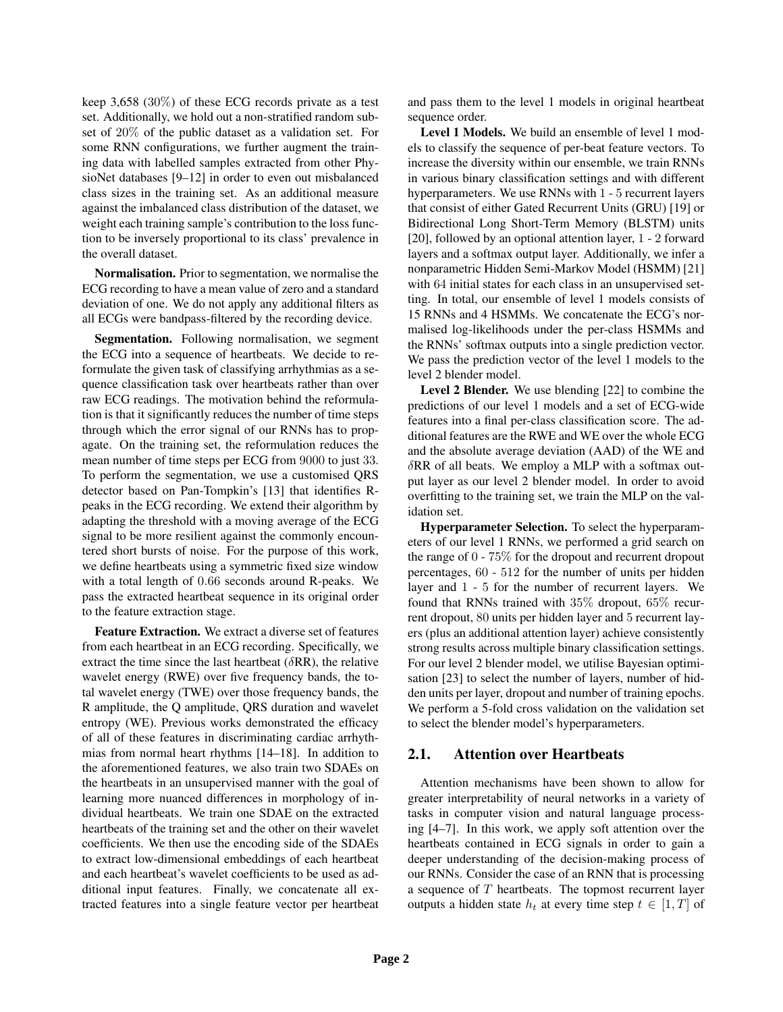keep 3,658 (30%) of these ECG records private as a test set. Additionally, we hold out a non-stratified random subset of 20% of the public dataset as a validation set. For some RNN configurations, we further augment the training data with labelled samples extracted from other PhysioNet databases [9–12] in order to even out misbalanced class sizes in the training set. As an additional measure against the imbalanced class distribution of the dataset, we weight each training sample's contribution to the loss function to be inversely proportional to its class' prevalence in the overall dataset.

Normalisation. Prior to segmentation, we normalise the ECG recording to have a mean value of zero and a standard deviation of one. We do not apply any additional filters as all ECGs were bandpass-filtered by the recording device.

Segmentation. Following normalisation, we segment the ECG into a sequence of heartbeats. We decide to reformulate the given task of classifying arrhythmias as a sequence classification task over heartbeats rather than over raw ECG readings. The motivation behind the reformulation is that it significantly reduces the number of time steps through which the error signal of our RNNs has to propagate. On the training set, the reformulation reduces the mean number of time steps per ECG from 9000 to just 33. To perform the segmentation, we use a customised QRS detector based on Pan-Tompkin's [13] that identifies Rpeaks in the ECG recording. We extend their algorithm by adapting the threshold with a moving average of the ECG signal to be more resilient against the commonly encountered short bursts of noise. For the purpose of this work, we define heartbeats using a symmetric fixed size window with a total length of 0.66 seconds around R-peaks. We pass the extracted heartbeat sequence in its original order to the feature extraction stage.

Feature Extraction. We extract a diverse set of features from each heartbeat in an ECG recording. Specifically, we extract the time since the last heartbeat ( $\delta RR$ ), the relative wavelet energy (RWE) over five frequency bands, the total wavelet energy (TWE) over those frequency bands, the R amplitude, the Q amplitude, QRS duration and wavelet entropy (WE). Previous works demonstrated the efficacy of all of these features in discriminating cardiac arrhythmias from normal heart rhythms [14–18]. In addition to the aforementioned features, we also train two SDAEs on the heartbeats in an unsupervised manner with the goal of learning more nuanced differences in morphology of individual heartbeats. We train one SDAE on the extracted heartbeats of the training set and the other on their wavelet coefficients. We then use the encoding side of the SDAEs to extract low-dimensional embeddings of each heartbeat and each heartbeat's wavelet coefficients to be used as additional input features. Finally, we concatenate all extracted features into a single feature vector per heartbeat and pass them to the level 1 models in original heartbeat sequence order.

Level 1 Models. We build an ensemble of level 1 models to classify the sequence of per-beat feature vectors. To increase the diversity within our ensemble, we train RNNs in various binary classification settings and with different hyperparameters. We use RNNs with 1 - 5 recurrent layers that consist of either Gated Recurrent Units (GRU) [19] or Bidirectional Long Short-Term Memory (BLSTM) units [20], followed by an optional attention layer, 1 - 2 forward layers and a softmax output layer. Additionally, we infer a nonparametric Hidden Semi-Markov Model (HSMM) [21] with 64 initial states for each class in an unsupervised setting. In total, our ensemble of level 1 models consists of 15 RNNs and 4 HSMMs. We concatenate the ECG's normalised log-likelihoods under the per-class HSMMs and the RNNs' softmax outputs into a single prediction vector. We pass the prediction vector of the level 1 models to the level 2 blender model.

Level 2 Blender. We use blending [22] to combine the predictions of our level 1 models and a set of ECG-wide features into a final per-class classification score. The additional features are the RWE and WE over the whole ECG and the absolute average deviation (AAD) of the WE and  $\delta$ RR of all beats. We employ a MLP with a softmax output layer as our level 2 blender model. In order to avoid overfitting to the training set, we train the MLP on the validation set.

Hyperparameter Selection. To select the hyperparameters of our level 1 RNNs, we performed a grid search on the range of 0 - 75% for the dropout and recurrent dropout percentages, 60 - 512 for the number of units per hidden layer and 1 - 5 for the number of recurrent layers. We found that RNNs trained with 35% dropout, 65% recurrent dropout, 80 units per hidden layer and 5 recurrent layers (plus an additional attention layer) achieve consistently strong results across multiple binary classification settings. For our level 2 blender model, we utilise Bayesian optimisation [23] to select the number of layers, number of hidden units per layer, dropout and number of training epochs. We perform a 5-fold cross validation on the validation set to select the blender model's hyperparameters.

#### 2.1. Attention over Heartbeats

Attention mechanisms have been shown to allow for greater interpretability of neural networks in a variety of tasks in computer vision and natural language processing [4–7]. In this work, we apply soft attention over the heartbeats contained in ECG signals in order to gain a deeper understanding of the decision-making process of our RNNs. Consider the case of an RNN that is processing a sequence of T heartbeats. The topmost recurrent layer outputs a hidden state  $h_t$  at every time step  $t \in [1, T]$  of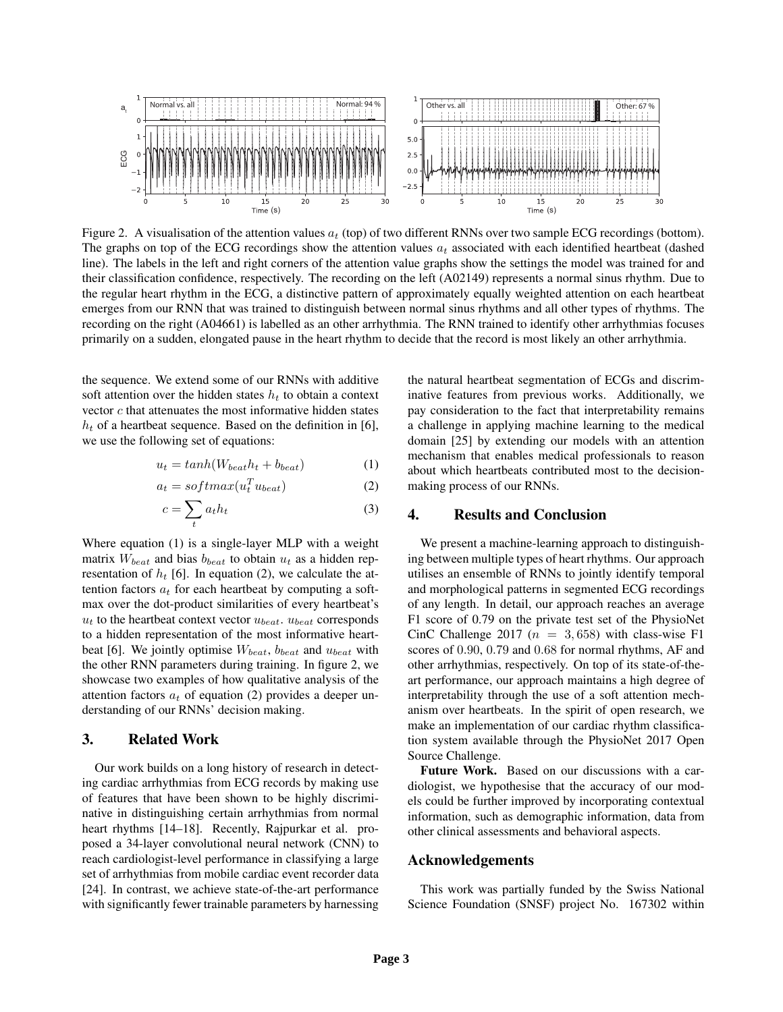

Figure 2. A visualisation of the attention values  $a_t$  (top) of two different RNNs over two sample ECG recordings (bottom). The graphs on top of the ECG recordings show the attention values  $a_t$  associated with each identified heartbeat (dashed line). The labels in the left and right corners of the attention value graphs show the settings the model was trained for and their classification confidence, respectively. The recording on the left (A02149) represents a normal sinus rhythm. Due to the regular heart rhythm in the ECG, a distinctive pattern of approximately equally weighted attention on each heartbeat emerges from our RNN that was trained to distinguish between normal sinus rhythms and all other types of rhythms. The recording on the right (A04661) is labelled as an other arrhythmia. The RNN trained to identify other arrhythmias focuses primarily on a sudden, elongated pause in the heart rhythm to decide that the record is most likely an other arrhythmia.

the sequence. We extend some of our RNNs with additive soft attention over the hidden states  $h_t$  to obtain a context vector  $c$  that attenuates the most informative hidden states  $h_t$  of a heartbeat sequence. Based on the definition in [6], we use the following set of equations:

$$
u_t = \tanh(W_{beat}h_t + b_{beat})\tag{1}
$$

$$
a_t = softmax(u_t^T u_{beat})
$$
 (2)

$$
c = \sum_{t} a_{t} h_{t} \tag{3}
$$

Where equation (1) is a single-layer MLP with a weight matrix  $W_{beat}$  and bias  $b_{beat}$  to obtain  $u_t$  as a hidden representation of  $h_t$  [6]. In equation (2), we calculate the attention factors  $a_t$  for each heartbeat by computing a softmax over the dot-product similarities of every heartbeat's  $u_t$  to the heartbeat context vector  $u_{beat}$ .  $u_{beat}$  corresponds to a hidden representation of the most informative heartbeat [6]. We jointly optimise  $W_{beat}$ ,  $b_{beat}$  and  $u_{beat}$  with the other RNN parameters during training. In figure 2, we showcase two examples of how qualitative analysis of the attention factors  $a_t$  of equation (2) provides a deeper understanding of our RNNs' decision making.

#### 3. Related Work

Our work builds on a long history of research in detecting cardiac arrhythmias from ECG records by making use of features that have been shown to be highly discriminative in distinguishing certain arrhythmias from normal heart rhythms [14–18]. Recently, Rajpurkar et al. proposed a 34-layer convolutional neural network (CNN) to reach cardiologist-level performance in classifying a large set of arrhythmias from mobile cardiac event recorder data [24]. In contrast, we achieve state-of-the-art performance with significantly fewer trainable parameters by harnessing the natural heartbeat segmentation of ECGs and discriminative features from previous works. Additionally, we pay consideration to the fact that interpretability remains a challenge in applying machine learning to the medical domain [25] by extending our models with an attention mechanism that enables medical professionals to reason about which heartbeats contributed most to the decisionmaking process of our RNNs.

### 4. Results and Conclusion

We present a machine-learning approach to distinguishing between multiple types of heart rhythms. Our approach utilises an ensemble of RNNs to jointly identify temporal and morphological patterns in segmented ECG recordings of any length. In detail, our approach reaches an average F1 score of 0.79 on the private test set of the PhysioNet CinC Challenge 2017 ( $n = 3,658$ ) with class-wise F1 scores of 0.90, 0.79 and 0.68 for normal rhythms, AF and other arrhythmias, respectively. On top of its state-of-theart performance, our approach maintains a high degree of interpretability through the use of a soft attention mechanism over heartbeats. In the spirit of open research, we make an implementation of our cardiac rhythm classification system available through the PhysioNet 2017 Open Source Challenge.

Future Work. Based on our discussions with a cardiologist, we hypothesise that the accuracy of our models could be further improved by incorporating contextual information, such as demographic information, data from other clinical assessments and behavioral aspects.

#### Acknowledgements

This work was partially funded by the Swiss National Science Foundation (SNSF) project No. 167302 within